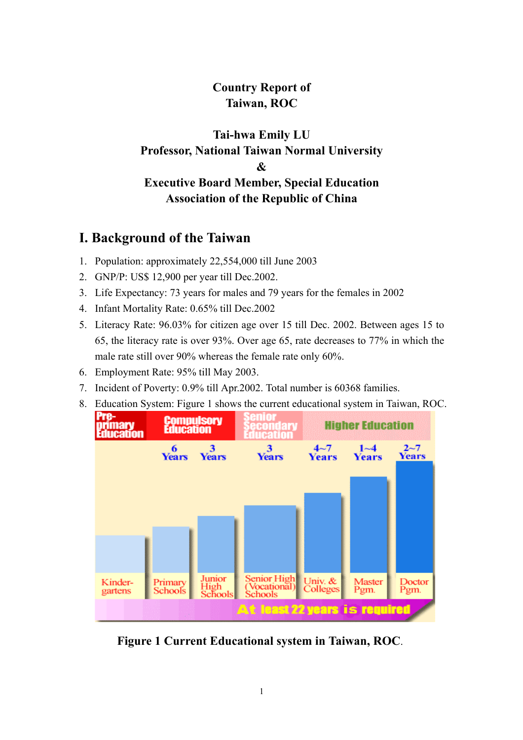# **Country Report of Taiwan, ROC**

# **Tai-hwa Emily LU Professor, National Taiwan Normal University & Executive Board Member, Special Education Association of the Republic of China**

# **I. Background of the Taiwan**

- 1. Population: approximately 22,554,000 till June 2003
- 2. GNP/P: US\$ 12,900 per year till Dec.2002.
- 3. Life Expectancy: 73 years for males and 79 years for the females in 2002
- 4. Infant Mortality Rate: 0.65% till Dec.2002
- 5. Literacy Rate: 96.03% for citizen age over 15 till Dec. 2002. Between ages 15 to 65, the literacy rate is over 93%. Over age 65, rate decreases to 77% in which the male rate still over 90% whereas the female rate only 60%.
- 6. Employment Rate: 95% till May 2003.
- 7. Incident of Poverty: 0.9% till Apr.2002. Total number is 60368 families.
- 8. Education System: Figure 1 shows the current educational system in Taiwan, ROC.



**Figure 1 Current Educational system in Taiwan, ROC**.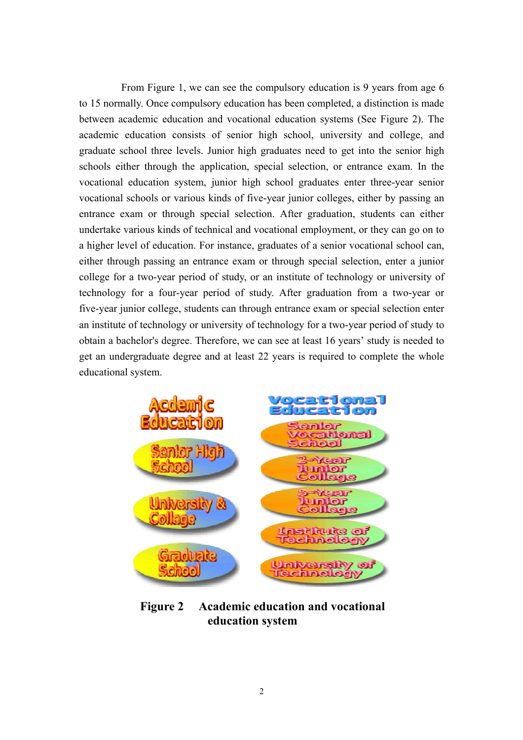From Figure 1, we can see the compulsory education is 9 years from age 6 to 15 normally. Once compulsory education has been completed, a distinction is made between academic education and vocational education systems (See Figure 2). The academic education consists of senior high school, university and college, and graduate school three levels. Junior high graduates need to get into the senior high schools either through the application, special selection, or entrance exam. In the vocational education system, junior high school graduates enter three-year senior vocational schools or various kinds of five-year junior colleges, either by passing an entrance exam or through special selection. After graduation, students can either undertake various kinds of technical and vocational employment, or they can go on to a higher level of education. For instance, graduates of a senior vocational school can, either through passing an entrance exam or through special selection, enter a junior college for a two-year period of study, or an institute of technology or university of technology for a four-year period of study. After graduation from a two-year or five-year junior college, students can through entrance exam or special selection enter an institute of technology or university of technology for a two-year period of study to obtain a bachelor's degree. Therefore, we can see at least 16 years' study is needed to get an undergraduate degree and at least 22 years is required to complete the whole educational system.



**Figure 2 Academic education and vocational education system**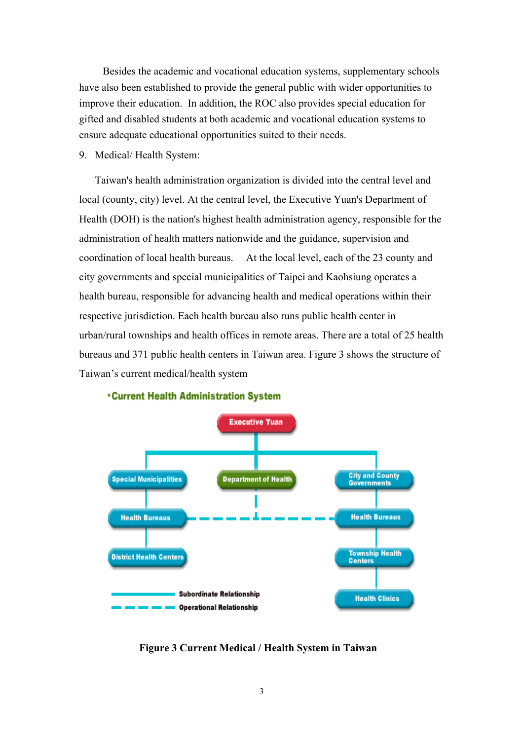Besides the academic and vocational education systems, supplementary schools have also been established to provide the general public with wider opportunities to improve their education. In addition, the ROC also provides special education for gifted and disabled students at both academic and vocational education systems to ensure adequate educational opportunities suited to their needs.

9. Medical/ Health System:

Taiwan's health administration organization is divided into the central level and local (county, city) level. At the central level, the Executive Yuan's Department of Health (DOH) is the nation's highest health administration agency, responsible for the administration of health matters nationwide and the guidance, supervision and coordination of local health bureaus. At the local level, each of the 23 county and city governments and special municipalities of Taipei and Kaohsiung operates a health bureau, responsible for advancing health and medical operations within their respective jurisdiction. Each health bureau also runs public health center in urban/rural townships and health offices in remote areas. There are a total of 25 health bureaus and 371 public health centers in Taiwan area. Figure 3 shows the structure of Taiwan's current medical/health system



### **Current Health Administration System**

**Figure 3 Current Medical / Health System in Taiwan**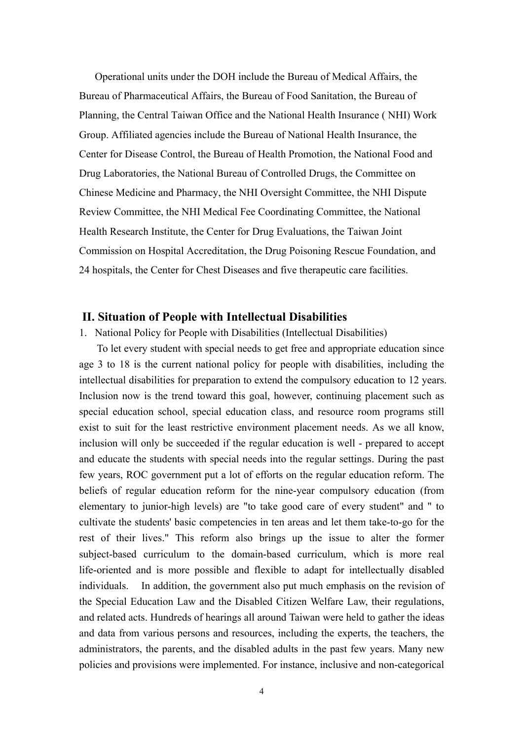Operational units under the DOH include the Bureau of Medical Affairs, the Bureau of Pharmaceutical Affairs, the Bureau of Food Sanitation, the Bureau of Planning, the Central Taiwan Office and the National Health Insurance ( NHI) Work Group. Affiliated agencies include the Bureau of National Health Insurance, the Center for Disease Control, the Bureau of Health Promotion, the National Food and Drug Laboratories, the National Bureau of Controlled Drugs, the Committee on Chinese Medicine and Pharmacy, the NHI Oversight Committee, the NHI Dispute Review Committee, the NHI Medical Fee Coordinating Committee, the National Health Research Institute, the Center for Drug Evaluations, the Taiwan Joint Commission on Hospital Accreditation, the Drug Poisoning Rescue Foundation, and 24 hospitals, the Center for Chest Diseases and five therapeutic care facilities.

## **II. Situation of People with Intellectual Disabilities**

#### 1. National Policy for People with Disabilities (Intellectual Disabilities)

To let every student with special needs to get free and appropriate education since age 3 to 18 is the current national policy for people with disabilities, including the intellectual disabilities for preparation to extend the compulsory education to 12 years. Inclusion now is the trend toward this goal, however, continuing placement such as special education school, special education class, and resource room programs still exist to suit for the least restrictive environment placement needs. As we all know, inclusion will only be succeeded if the regular education is well - prepared to accept and educate the students with special needs into the regular settings. During the past few years, ROC government put a lot of efforts on the regular education reform. The beliefs of regular education reform for the nine-year compulsory education (from elementary to junior-high levels) are "to take good care of every student" and " to cultivate the students' basic competencies in ten areas and let them take-to-go for the rest of their lives." This reform also brings up the issue to alter the former subject-based curriculum to the domain-based curriculum, which is more real life-oriented and is more possible and flexible to adapt for intellectually disabled individuals. In addition, the government also put much emphasis on the revision of the Special Education Law and the Disabled Citizen Welfare Law, their regulations, and related acts. Hundreds of hearings all around Taiwan were held to gather the ideas and data from various persons and resources, including the experts, the teachers, the administrators, the parents, and the disabled adults in the past few years. Many new policies and provisions were implemented. For instance, inclusive and non-categorical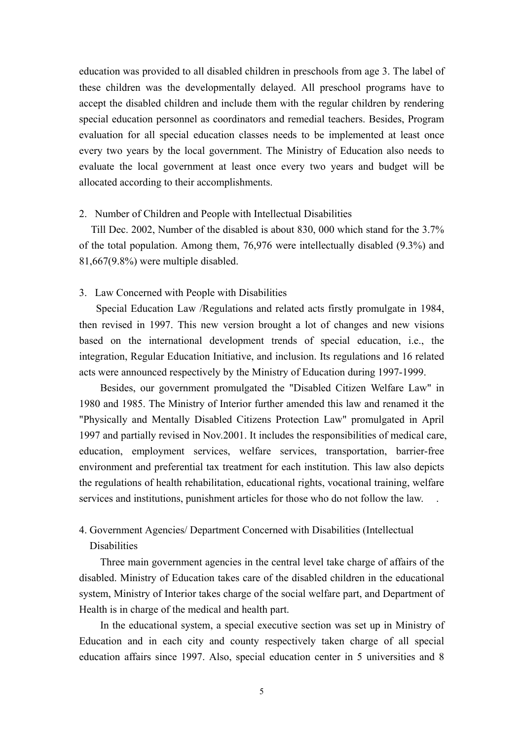education was provided to all disabled children in preschools from age 3. The label of these children was the developmentally delayed. All preschool programs have to accept the disabled children and include them with the regular children by rendering special education personnel as coordinators and remedial teachers. Besides, Program evaluation for all special education classes needs to be implemented at least once every two years by the local government. The Ministry of Education also needs to evaluate the local government at least once every two years and budget will be allocated according to their accomplishments.

#### 2. Number of Children and People with Intellectual Disabilities

Till Dec. 2002, Number of the disabled is about 830, 000 which stand for the 3.7% of the total population. Among them, 76,976 were intellectually disabled (9.3%) and 81,667(9.8%) were multiple disabled.

#### 3. Law Concerned with People with Disabilities

Special Education Law /Regulations and related acts firstly promulgate in 1984, then revised in 1997. This new version brought a lot of changes and new visions based on the international development trends of special education, i.e., the integration, Regular Education Initiative, and inclusion. Its regulations and 16 related acts were announced respectively by the Ministry of Education during 1997-1999.

Besides, our government promulgated the "Disabled Citizen Welfare Law" in 1980 and 1985. The Ministry of Interior further amended this law and renamed it the "Physically and Mentally Disabled Citizens Protection Law" promulgated in April 1997 and partially revised in Nov.2001. It includes the responsibilities of medical care, education, employment services, welfare services, transportation, barrier-free environment and preferential tax treatment for each institution. This law also depicts the regulations of health rehabilitation, educational rights, vocational training, welfare services and institutions, punishment articles for those who do not follow the law.

# 4. Government Agencies/ Department Concerned with Disabilities (Intellectual Disabilities

Three main government agencies in the central level take charge of affairs of the disabled. Ministry of Education takes care of the disabled children in the educational system, Ministry of Interior takes charge of the social welfare part, and Department of Health is in charge of the medical and health part.

In the educational system, a special executive section was set up in Ministry of Education and in each city and county respectively taken charge of all special education affairs since 1997. Also, special education center in 5 universities and 8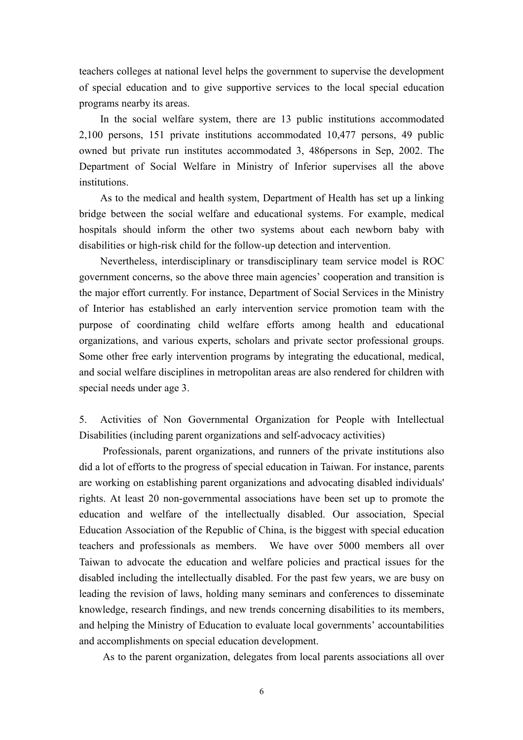teachers colleges at national level helps the government to supervise the development of special education and to give supportive services to the local special education programs nearby its areas.

In the social welfare system, there are 13 public institutions accommodated 2,100 persons, 151 private institutions accommodated 10,477 persons, 49 public owned but private run institutes accommodated 3, 486persons in Sep, 2002. The Department of Social Welfare in Ministry of Inferior supervises all the above institutions.

As to the medical and health system, Department of Health has set up a linking bridge between the social welfare and educational systems. For example, medical hospitals should inform the other two systems about each newborn baby with disabilities or high-risk child for the follow-up detection and intervention.

Nevertheless, interdisciplinary or transdisciplinary team service model is ROC government concerns, so the above three main agencies' cooperation and transition is the major effort currently. For instance, Department of Social Services in the Ministry of Interior has established an early intervention service promotion team with the purpose of coordinating child welfare efforts among health and educational organizations, and various experts, scholars and private sector professional groups. Some other free early intervention programs by integrating the educational, medical, and social welfare disciplines in metropolitan areas are also rendered for children with special needs under age 3.

5. Activities of Non Governmental Organization for People with Intellectual Disabilities (including parent organizations and self-advocacy activities)

Professionals, parent organizations, and runners of the private institutions also did a lot of efforts to the progress of special education in Taiwan. For instance, parents are working on establishing parent organizations and advocating disabled individuals' rights. At least 20 non-governmental associations have been set up to promote the education and welfare of the intellectually disabled. Our association, Special Education Association of the Republic of China, is the biggest with special education teachers and professionals as members. We have over 5000 members all over Taiwan to advocate the education and welfare policies and practical issues for the disabled including the intellectually disabled. For the past few years, we are busy on leading the revision of laws, holding many seminars and conferences to disseminate knowledge, research findings, and new trends concerning disabilities to its members, and helping the Ministry of Education to evaluate local governments' accountabilities and accomplishments on special education development.

As to the parent organization, delegates from local parents associations all over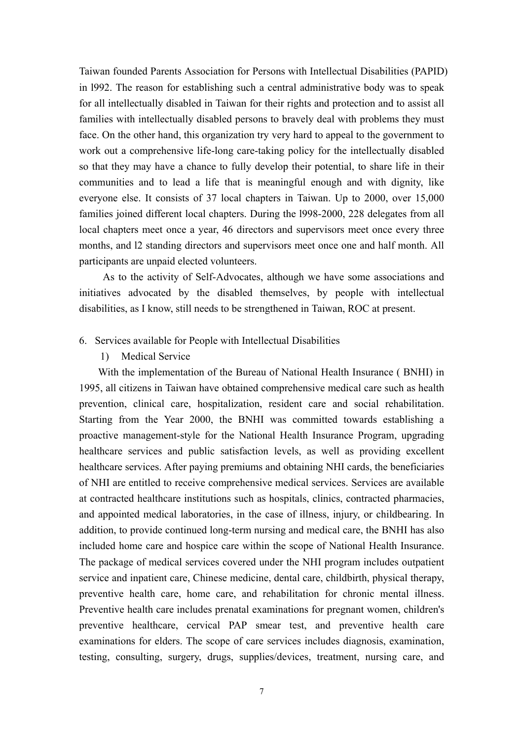Taiwan founded Parents Association for Persons with Intellectual Disabilities (PAPID) in l992. The reason for establishing such a central administrative body was to speak for all intellectually disabled in Taiwan for their rights and protection and to assist all families with intellectually disabled persons to bravely deal with problems they must face. On the other hand, this organization try very hard to appeal to the government to work out a comprehensive life-long care-taking policy for the intellectually disabled so that they may have a chance to fully develop their potential, to share life in their communities and to lead a life that is meaningful enough and with dignity, like everyone else. It consists of 37 local chapters in Taiwan. Up to 2000, over 15,000 families joined different local chapters. During the l998-2000, 228 delegates from all local chapters meet once a year, 46 directors and supervisors meet once every three months, and l2 standing directors and supervisors meet once one and half month. All participants are unpaid elected volunteers.

As to the activity of Self-Advocates, although we have some associations and initiatives advocated by the disabled themselves, by people with intellectual disabilities, as I know, still needs to be strengthened in Taiwan, ROC at present.

#### 6. Services available for People with Intellectual Disabilities

1) Medical Service

 With the implementation of the Bureau of National Health Insurance ( BNHI) in 1995, all citizens in Taiwan have obtained comprehensive medical care such as health prevention, clinical care, hospitalization, resident care and social rehabilitation. Starting from the Year 2000, the BNHI was committed towards establishing a proactive management-style for the National Health Insurance Program, upgrading healthcare services and public satisfaction levels, as well as providing excellent healthcare services. After paying premiums and obtaining NHI cards, the beneficiaries of NHI are entitled to receive comprehensive medical services. Services are available at contracted healthcare institutions such as hospitals, clinics, contracted pharmacies, and appointed medical laboratories, in the case of illness, injury, or childbearing. In addition, to provide continued long-term nursing and medical care, the BNHI has also included home care and hospice care within the scope of National Health Insurance. The package of medical services covered under the NHI program includes outpatient service and inpatient care, Chinese medicine, dental care, childbirth, physical therapy, preventive health care, home care, and rehabilitation for chronic mental illness. Preventive health care includes prenatal examinations for pregnant women, children's preventive healthcare, cervical PAP smear test, and preventive health care examinations for elders. The scope of care services includes diagnosis, examination, testing, consulting, surgery, drugs, supplies/devices, treatment, nursing care, and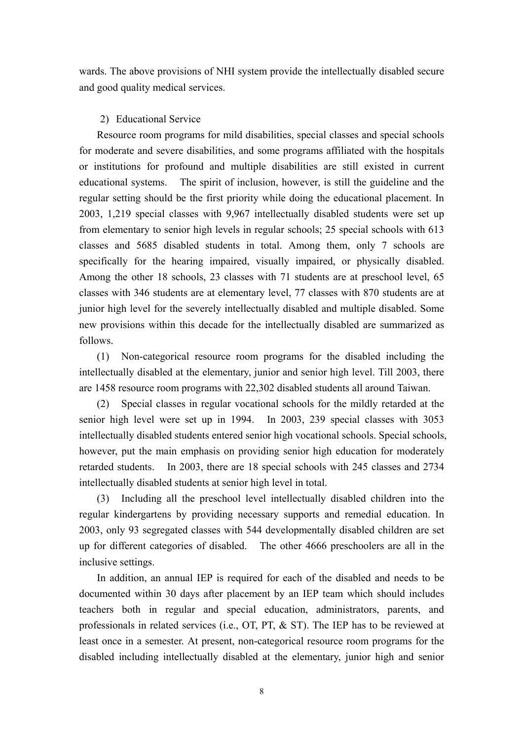wards. The above provisions of NHI system provide the intellectually disabled secure and good quality medical services.

# 2) Educational Service

Resource room programs for mild disabilities, special classes and special schools for moderate and severe disabilities, and some programs affiliated with the hospitals or institutions for profound and multiple disabilities are still existed in current educational systems. The spirit of inclusion, however, is still the guideline and the regular setting should be the first priority while doing the educational placement. In 2003, 1,219 special classes with 9,967 intellectually disabled students were set up from elementary to senior high levels in regular schools; 25 special schools with 613 classes and 5685 disabled students in total. Among them, only 7 schools are specifically for the hearing impaired, visually impaired, or physically disabled. Among the other 18 schools, 23 classes with 71 students are at preschool level, 65 classes with 346 students are at elementary level, 77 classes with 870 students are at junior high level for the severely intellectually disabled and multiple disabled. Some new provisions within this decade for the intellectually disabled are summarized as follows.

(1) Non-categorical resource room programs for the disabled including the intellectually disabled at the elementary, junior and senior high level. Till 2003, there are 1458 resource room programs with 22,302 disabled students all around Taiwan.

(2) Special classes in regular vocational schools for the mildly retarded at the senior high level were set up in 1994. In 2003, 239 special classes with 3053 intellectually disabled students entered senior high vocational schools. Special schools, however, put the main emphasis on providing senior high education for moderately retarded students. In 2003, there are 18 special schools with 245 classes and 2734 intellectually disabled students at senior high level in total.

(3) Including all the preschool level intellectually disabled children into the regular kindergartens by providing necessary supports and remedial education. In 2003, only 93 segregated classes with 544 developmentally disabled children are set up for different categories of disabled. The other 4666 preschoolers are all in the inclusive settings.

In addition, an annual IEP is required for each of the disabled and needs to be documented within 30 days after placement by an IEP team which should includes teachers both in regular and special education, administrators, parents, and professionals in related services (i.e., OT, PT, & ST). The IEP has to be reviewed at least once in a semester. At present, non-categorical resource room programs for the disabled including intellectually disabled at the elementary, junior high and senior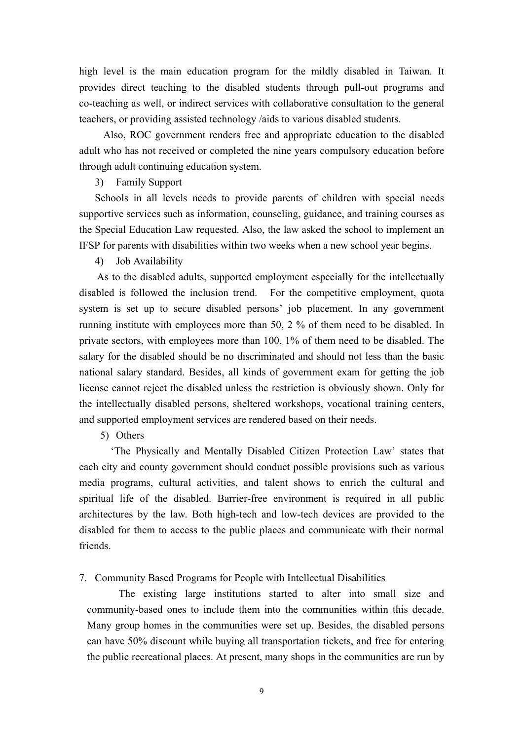high level is the main education program for the mildly disabled in Taiwan. It provides direct teaching to the disabled students through pull-out programs and co-teaching as well, or indirect services with collaborative consultation to the general teachers, or providing assisted technology /aids to various disabled students.

Also, ROC government renders free and appropriate education to the disabled adult who has not received or completed the nine years compulsory education before through adult continuing education system.

### 3) Family Support

Schools in all levels needs to provide parents of children with special needs supportive services such as information, counseling, guidance, and training courses as the Special Education Law requested. Also, the law asked the school to implement an IFSP for parents with disabilities within two weeks when a new school year begins.

## 4) Job Availability

As to the disabled adults, supported employment especially for the intellectually disabled is followed the inclusion trend. For the competitive employment, quota system is set up to secure disabled persons' job placement. In any government running institute with employees more than 50, 2 % of them need to be disabled. In private sectors, with employees more than 100, 1% of them need to be disabled. The salary for the disabled should be no discriminated and should not less than the basic national salary standard. Besides, all kinds of government exam for getting the job license cannot reject the disabled unless the restriction is obviously shown. Only for the intellectually disabled persons, sheltered workshops, vocational training centers, and supported employment services are rendered based on their needs.

5) Others

'The Physically and Mentally Disabled Citizen Protection Law' states that each city and county government should conduct possible provisions such as various media programs, cultural activities, and talent shows to enrich the cultural and spiritual life of the disabled. Barrier-free environment is required in all public architectures by the law. Both high-tech and low-tech devices are provided to the disabled for them to access to the public places and communicate with their normal friends.

7. Community Based Programs for People with Intellectual Disabilities

The existing large institutions started to alter into small size and community-based ones to include them into the communities within this decade. Many group homes in the communities were set up. Besides, the disabled persons can have 50% discount while buying all transportation tickets, and free for entering the public recreational places. At present, many shops in the communities are run by